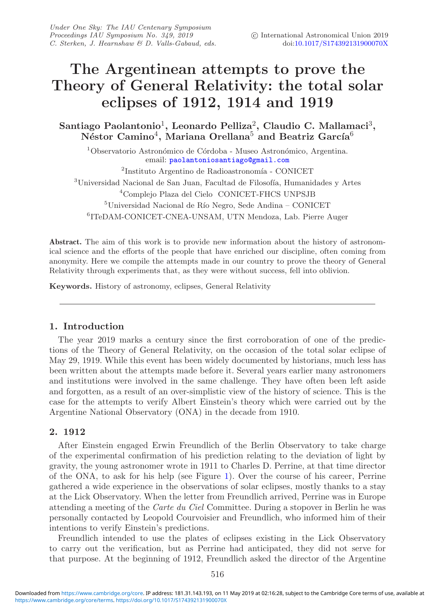# **The Argentinean attempts to prove the Theory of General Relativity: the total solar eclipses of 1912, 1914 and 1919**

**Santiago Paolantonio**1**, Leonardo Pelliza**2**, Claudio C. Mallamaci**3**,** Néstor Camino<sup>4</sup>, Mariana Orellana<sup>5</sup> and Beatriz García<sup>6</sup>

 $1$ Observatorio Astronómico de Córdoba - Museo Astronómico, Argentina. email: [paolantoniosantiago@gmail.com](mailto:paolantoniosantiago@gmail.com)

 ${}^{2}$ Instituto Argentino de Radioastronomía - CONICET  $3$ Universidad Nacional de San Juan, Facultad de Filosofía, Humanidades y Artes <sup>4</sup>Complejo Plaza del Cielo CONICET-FHCS UNPSJB

 $^5\rm{Universal}$  Macional de Río Negro, Sede Andina – CONICET <sup>6</sup>ITeDAM-CONICET-CNEA-UNSAM, UTN Mendoza, Lab. Pierre Auger

**Abstract.** The aim of this work is to provide new information about the history of astronomical science and the efforts of the people that have enriched our discipline, often coming from anonymity. Here we compile the attempts made in our country to prove the theory of General Relativity through experiments that, as they were without success, fell into oblivion.

**Keywords.** History of astronomy, eclipses, General Relativity

## **1. Introduction**

The year 2019 marks a century since the first corroboration of one of the predictions of the Theory of General Relativity, on the occasion of the total solar eclipse of May 29, 1919. While this event has been widely documented by historians, much less has been written about the attempts made before it. Several years earlier many astronomers and institutions were involved in the same challenge. They have often been left aside and forgotten, as a result of an over-simplistic view of the history of science. This is the case for the attempts to verify Albert Einstein's theory which were carried out by the Argentine National Observatory (ONA) in the decade from 1910.

## **2. 1912**

After Einstein engaged Erwin Freundlich of the Berlin Observatory to take charge of the experimental confirmation of his prediction relating to the deviation of light by gravity, the young astronomer wrote in 1911 to Charles D. Perrine, at that time director of the ONA, to ask for his help (see Figure [1\)](#page-1-0). Over the course of his career, Perrine gathered a wide experience in the observations of solar eclipses, mostly thanks to a stay at the Lick Observatory. When the letter from Freundlich arrived, Perrine was in Europe attending a meeting of the *Carte du Ciel* Committee. During a stopover in Berlin he was personally contacted by Leopold Courvoisier and Freundlich, who informed him of their intentions to verify Einstein's predictions.

Freundlich intended to use the plates of eclipses existing in the Lick Observatory to carry out the verification, but as Perrine had anticipated, they did not serve for that purpose. At the beginning of 1912, Freundlich asked the director of the Argentine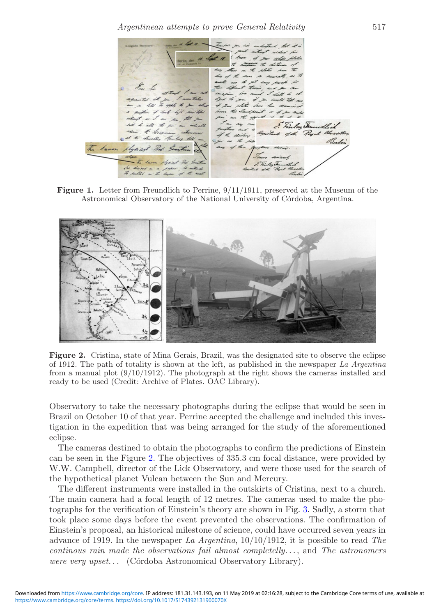<span id="page-1-0"></span>Finlandful Bu L

**Figure 1.** Letter from Freundlich to Perrine,  $9/11/1911$ , preserved at the Museum of the Astronomical Observatory of the National University of Córdoba, Argentina.

<span id="page-1-1"></span>

**Figure 2.** Cristina, state of Mina Gerais, Brazil, was the designated site to observe the eclipse of 1912. The path of totality is shown at the left, as published in the newspaper *La Argentina* from a manual plot (9/10/1912). The photograph at the right shows the cameras installed and ready to be used (Credit: Archive of Plates. OAC Library).

Observatory to take the necessary photographs during the eclipse that would be seen in Brazil on October 10 of that year. Perrine accepted the challenge and included this investigation in the expedition that was being arranged for the study of the aforementioned eclipse.

The cameras destined to obtain the photographs to confirm the predictions of Einstein can be seen in the Figure [2.](#page-1-1) The objectives of 335.3 cm focal distance, were provided by W.W. Campbell, director of the Lick Observatory, and were those used for the search of the hypothetical planet Vulcan between the Sun and Mercury.

The different instruments were installed in the outskirts of Cristina, next to a church. The main camera had a focal length of 12 metres. The cameras used to make the photographs for the verification of Einstein's theory are shown in Fig. [3.](#page-2-0) Sadly, a storm that took place some days before the event prevented the observations. The confirmation of Einstein's proposal, an historical milestone of science, could have occurred seven years in advance of 1919. In the newspaper *La Argentina*, 10/10/1912, it is possible to read *The continous rain made the observations fail almost completelly. . .*, and *The astronomers were very upset...* (Córdoba Astronomical Observatory Library).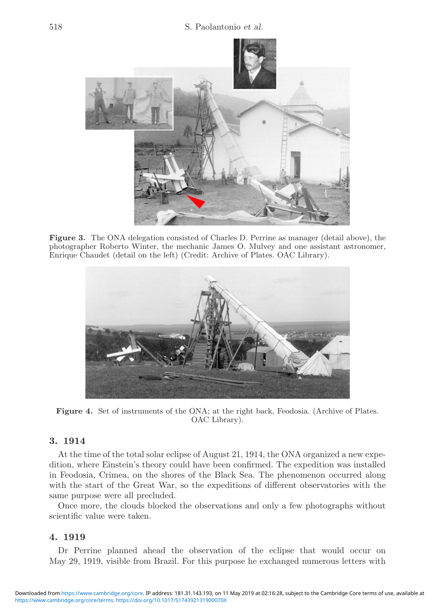<span id="page-2-0"></span>

**Figure 3.** The ONA delegation consisted of Charles D. Perrine as manager (detail above), the photographer Roberto Winter, the mechanic James O. Mulvey and one assistant astronomer, Enrique Chaudet (detail on the left) (Credit: Archive of Plates. OAC Library).



**Figure 4.** Set of instruments of the ONA; at the right back, Feodosia. (Archive of Plates. OAC Library).

## **3. 1914**

At the time of the total solar eclipse of August 21, 1914, the ONA organized a new expedition, where Einstein's theory could have been confirmed. The expedition was installed in Feodosia, Crimea, on the shores of the Black Sea. The phenomenon occurred along with the start of the Great War, so the expeditions of different observatories with the same purpose were all precluded.

Once more, the clouds blocked the observations and only a few photographs without scientific value were taken.

### **4. 1919**

Dr Perrine planned ahead the observation of the eclipse that would occur on May 29, 1919, visible from Brazil. For this purpose he exchanged numerous letters with